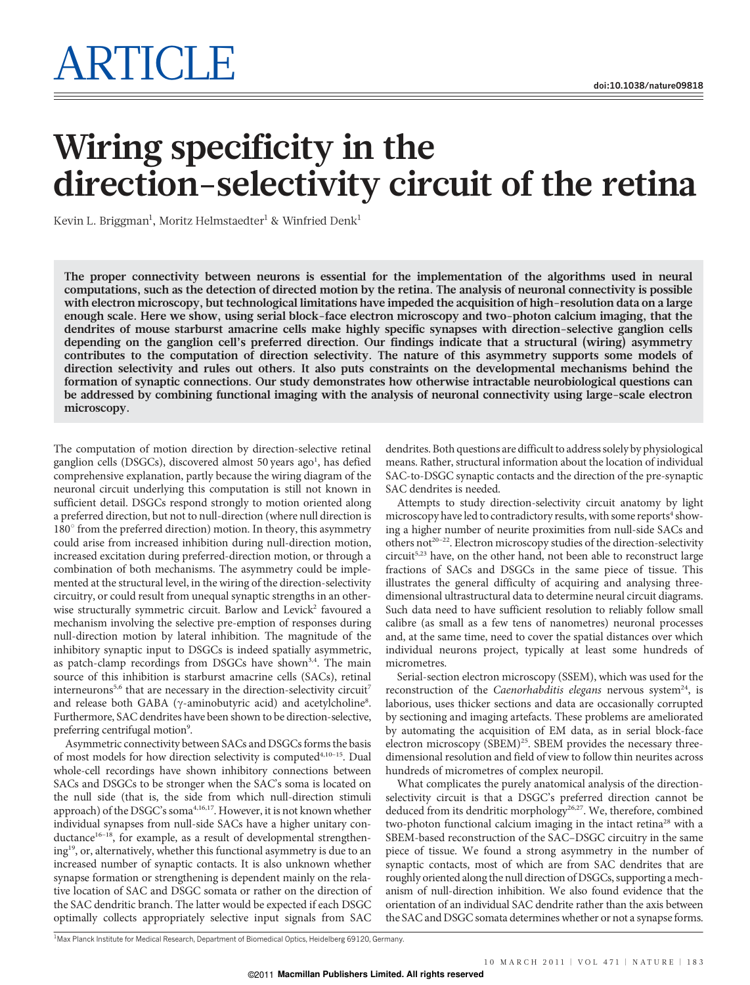# ARTICLE

# Wiring specificity in the direction-selectivity circuit of the retina

Kevin L. Briggman $^{\rm l}$ , Moritz Helmstaedter $^{\rm l}$  & Winfried Denk $^{\rm l}$ 

The proper connectivity between neurons is essential for the implementation of the algorithms used in neural computations, such as the detection of directed motion by the retina. The analysis of neuronal connectivity is possible with electron microscopy, but technological limitations have impeded the acquisition of high-resolution data on a large enough scale. Here we show, using serial block-face electron microscopy and two-photon calcium imaging, that the dendrites of mouse starburst amacrine cells make highly specific synapses with direction-selective ganglion cells depending on the ganglion cell's preferred direction. Our findings indicate that a structural (wiring) asymmetry contributes to the computation of direction selectivity. The nature of this asymmetry supports some models of direction selectivity and rules out others. It also puts constraints on the developmental mechanisms behind the formation of synaptic connections. Our study demonstrates how otherwise intractable neurobiological questions can be addressed by combining functional imaging with the analysis of neuronal connectivity using large-scale electron microscopy.

The computation of motion direction by direction-selective retinal ganglion cells (DSGCs), discovered almost 50 years ago<sup>1</sup>, has defied comprehensive explanation, partly because the wiring diagram of the neuronal circuit underlying this computation is still not known in sufficient detail. DSGCs respond strongly to motion oriented along a preferred direction, but not to null-direction (where null direction is  $180^\circ$  from the preferred direction) motion. In theory, this asymmetry could arise from increased inhibition during null-direction motion, increased excitation during preferred-direction motion, or through a combination of both mechanisms. The asymmetry could be implemented at the structural level, in the wiring of the direction-selectivity circuitry, or could result from unequal synaptic strengths in an otherwise structurally symmetric circuit. Barlow and Levick<sup>2</sup> favoured a mechanism involving the selective pre-emption of responses during null-direction motion by lateral inhibition. The magnitude of the inhibitory synaptic input to DSGCs is indeed spatially asymmetric, as patch-clamp recordings from DSGCs have shown<sup>3,4</sup>. The main source of this inhibition is starburst amacrine cells (SACs), retinal interneurons<sup>5,6</sup> that are necessary in the direction-selectivity circuit<sup>7</sup> and release both GABA ( $\gamma$ -aminobutyric acid) and acetylcholine<sup>8</sup>. Furthermore, SAC dendrites have been shown to be direction-selective, preferring centrifugal motion<sup>9</sup>.

Asymmetric connectivity between SACs and DSGCs forms the basis of most models for how direction selectivity is computed<sup>4,10-15</sup>. Dual whole-cell recordings have shown inhibitory connections between SACs and DSGCs to be stronger when the SAC's soma is located on the null side (that is, the side from which null-direction stimuli approach) of the DSGC's soma<sup>4,16,17</sup>. However, it is not known whether individual synapses from null-side SACs have a higher unitary conductance<sup>16-18</sup>, for example, as a result of developmental strengthening<sup>19</sup>, or, alternatively, whether this functional asymmetry is due to an increased number of synaptic contacts. It is also unknown whether synapse formation or strengthening is dependent mainly on the relative location of SAC and DSGC somata or rather on the direction of the SAC dendritic branch. The latter would be expected if each DSGC optimally collects appropriately selective input signals from SAC

dendrites. Both questions are difficult to address solely by physiological means. Rather, structural information about the location of individual SAC-to-DSGC synaptic contacts and the direction of the pre-synaptic SAC dendrites is needed.

Attempts to study direction-selectivity circuit anatomy by light microscopy have led to contradictory results, with some reports<sup>4</sup> showing a higher number of neurite proximities from null-side SACs and others not<sup>20-22</sup>. Electron microscopy studies of the direction-selectivity circuit<sup>5,23</sup> have, on the other hand, not been able to reconstruct large fractions of SACs and DSGCs in the same piece of tissue. This illustrates the general difficulty of acquiring and analysing threedimensional ultrastructural data to determine neural circuit diagrams. Such data need to have sufficient resolution to reliably follow small calibre (as small as a few tens of nanometres) neuronal processes and, at the same time, need to cover the spatial distances over which individual neurons project, typically at least some hundreds of micrometres.

Serial-section electron microscopy (SSEM), which was used for the reconstruction of the Caenorhabditis elegans nervous system<sup>24</sup>, is laborious, uses thicker sections and data are occasionally corrupted by sectioning and imaging artefacts. These problems are ameliorated by automating the acquisition of EM data, as in serial block-face electron microscopy (SBEM)<sup>25</sup>. SBEM provides the necessary threedimensional resolution and field of view to follow thin neurites across hundreds of micrometres of complex neuropil.

What complicates the purely anatomical analysis of the directionselectivity circuit is that a DSGC's preferred direction cannot be deduced from its dendritic morphology<sup>26,27</sup>. We, therefore, combined two-photon functional calcium imaging in the intact retina<sup>28</sup> with a SBEM-based reconstruction of the SAC–DSGC circuitry in the same piece of tissue. We found a strong asymmetry in the number of synaptic contacts, most of which are from SAC dendrites that are roughly oriented along the null direction of DSGCs, supporting a mechanism of null-direction inhibition. We also found evidence that the orientation of an individual SAC dendrite rather than the axis between the SAC and DSGC somata determines whether or not a synapse forms.

<sup>1</sup> Max Planck Institute for Medical Research, Department of Biomedical Optics, Heidelberg 69120, Germany.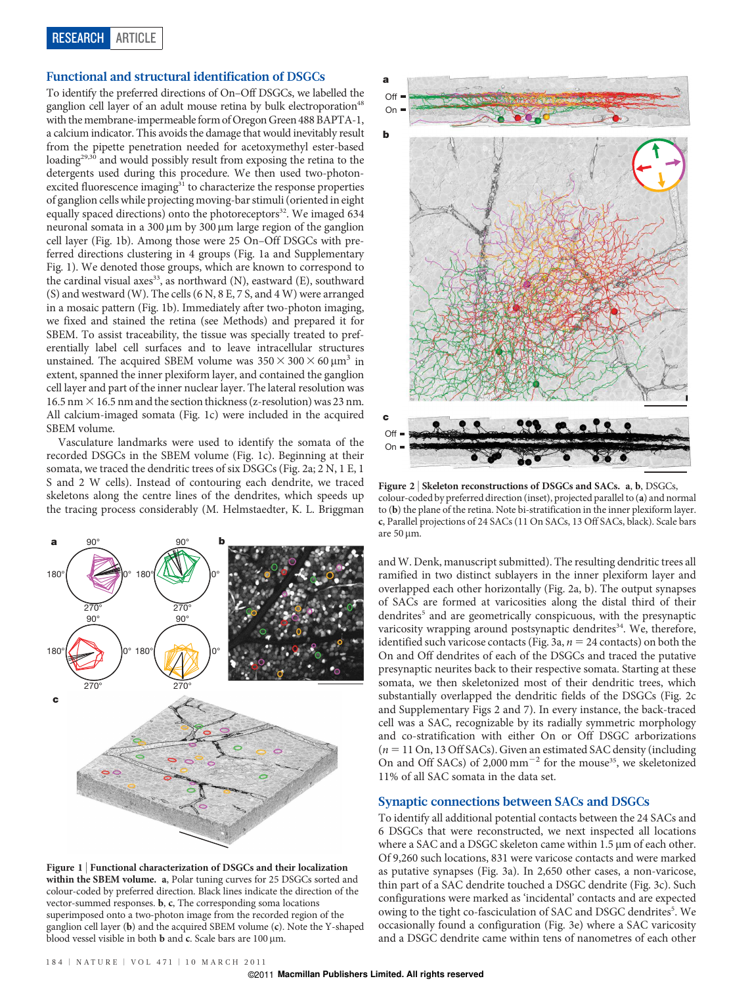## Functional and structural identification of DSGCs

To identify the preferred directions of On–Off DSGCs, we labelled the ganglion cell layer of an adult mouse retina by bulk electroporation<sup>48</sup> with the membrane-impermeable form of Oregon Green 488 BAPTA-1, a calcium indicator. This avoids the damage that would inevitably result from the pipette penetration needed for acetoxymethyl ester-based loading<sup>29,30</sup> and would possibly result from exposing the retina to the detergents used during this procedure. We then used two-photonexcited fluorescence imaging<sup>31</sup> to characterize the response properties of ganglion cells while projecting moving-bar stimuli (oriented in eight equally spaced directions) onto the photoreceptors<sup>32</sup>. We imaged 634 neuronal somata in a 300  $\mu$ m by 300  $\mu$ m large region of the ganglion cell layer (Fig. 1b). Among those were 25 On–Off DSGCs with preferred directions clustering in 4 groups (Fig. 1a and Supplementary Fig. 1). We denoted those groups, which are known to correspond to the cardinal visual axes<sup>33</sup>, as northward (N), eastward (E), southward (S) and westward (W). The cells (6 N, 8 E, 7 S, and 4 W) were arranged in a mosaic pattern (Fig. 1b). Immediately after two-photon imaging, we fixed and stained the retina (see Methods) and prepared it for SBEM. To assist traceability, the tissue was specially treated to preferentially label cell surfaces and to leave intracellular structures unstained. The acquired SBEM volume was  $350 \times 300 \times 60 \,\mathrm{\upmu m}^3$  in extent, spanned the inner plexiform layer, and contained the ganglion cell layer and part of the inner nuclear layer. The lateral resolution was  $16.5$  nm  $\times$  16.5 nm and the section thickness (z-resolution) was 23 nm. All calcium-imaged somata (Fig. 1c) were included in the acquired SBEM volume.

Vasculature landmarks were used to identify the somata of the recorded DSGCs in the SBEM volume (Fig. 1c). Beginning at their somata, we traced the dendritic trees of six DSGCs (Fig. 2a; 2 N, 1 E, 1 S and 2 W cells). Instead of contouring each dendrite, we traced skeletons along the centre lines of the dendrites, which speeds up the tracing process considerably (M. Helmstaedter, K. L. Briggman



Figure 1 | Functional characterization of DSGCs and their localization within the SBEM volume. a, Polar tuning curves for 25 DSGCs sorted and colour-coded by preferred direction. Black lines indicate the direction of the vector-summed responses. b, c, The corresponding soma locations superimposed onto a two-photon image from the recorded region of the ganglion cell layer (b) and the acquired SBEM volume (c). Note the Y-shaped blood vessel visible in both  $b$  and  $c$ . Scale bars are 100  $\mu$ m.



Figure 2 | Skeleton reconstructions of DSGCs and SACs. a, b, DSGCs, colour-coded by preferred direction (inset), projected parallel to (a) and normal to (b) the plane of the retina. Note bi-stratification in the inner plexiform layer. c, Parallel projections of 24 SACs (11 On SACs, 13 Off SACs, black). Scale bars are  $50 \text{ µm}$ .

and W. Denk, manuscript submitted). The resulting dendritic trees all ramified in two distinct sublayers in the inner plexiform layer and overlapped each other horizontally (Fig. 2a, b). The output synapses of SACs are formed at varicosities along the distal third of their dendrites<sup>5</sup> and are geometrically conspicuous, with the presynaptic varicosity wrapping around postsynaptic dendrites<sup>34</sup>. We, therefore, identified such varicose contacts (Fig. 3a,  $n = 24$  contacts) on both the On and Off dendrites of each of the DSGCs and traced the putative presynaptic neurites back to their respective somata. Starting at these somata, we then skeletonized most of their dendritic trees, which substantially overlapped the dendritic fields of the DSGCs (Fig. 2c and Supplementary Figs 2 and 7). In every instance, the back-traced cell was a SAC, recognizable by its radially symmetric morphology and co-stratification with either On or Off DSGC arborizations ( $n = 11$  On, 13 Off SACs). Given an estimated SAC density (including On and Off SACs) of  $2,000 \text{ mm}^{-2}$  for the mouse<sup>35</sup>, we skeletonized 11% of all SAC somata in the data set.

#### Synaptic connections between SACs and DSGCs

To identify all additional potential contacts between the 24 SACs and 6 DSGCs that were reconstructed, we next inspected all locations where a SAC and a DSGC skeleton came within 1.5  $\mu$ m of each other. Of 9,260 such locations, 831 were varicose contacts and were marked as putative synapses (Fig. 3a). In 2,650 other cases, a non-varicose, thin part of a SAC dendrite touched a DSGC dendrite (Fig. 3c). Such configurations were marked as 'incidental' contacts and are expected owing to the tight co-fasciculation of SAC and DSGC dendrites<sup>5</sup>. We occasionally found a configuration (Fig. 3e) where a SAC varicosity and a DSGC dendrite came within tens of nanometres of each other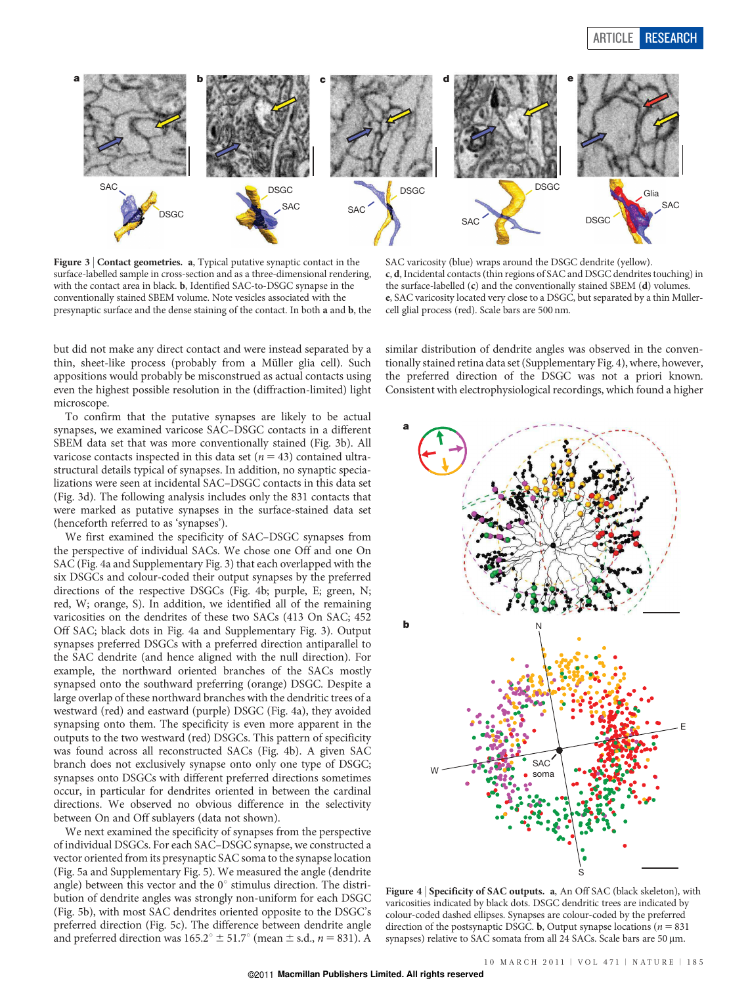

Figure 3 | Contact geometries. a, Typical putative synaptic contact in the surface-labelled sample in cross-section and as a three-dimensional rendering, with the contact area in black. b, Identified SAC-to-DSGC synapse in the conventionally stained SBEM volume. Note vesicles associated with the presynaptic surface and the dense staining of the contact. In both a and b, the

but did not make any direct contact and were instead separated by a thin, sheet-like process (probably from a Müller glia cell). Such appositions would probably be misconstrued as actual contacts using even the highest possible resolution in the (diffraction-limited) light microscope.

To confirm that the putative synapses are likely to be actual synapses, we examined varicose SAC–DSGC contacts in a different SBEM data set that was more conventionally stained (Fig. 3b). All varicose contacts inspected in this data set ( $n = 43$ ) contained ultrastructural details typical of synapses. In addition, no synaptic specializations were seen at incidental SAC–DSGC contacts in this data set (Fig. 3d). The following analysis includes only the 831 contacts that were marked as putative synapses in the surface-stained data set (henceforth referred to as 'synapses').

We first examined the specificity of SAC–DSGC synapses from the perspective of individual SACs. We chose one Off and one On SAC (Fig. 4a and Supplementary Fig. 3) that each overlapped with the six DSGCs and colour-coded their output synapses by the preferred directions of the respective DSGCs (Fig. 4b; purple, E; green, N; red, W; orange, S). In addition, we identified all of the remaining varicosities on the dendrites of these two SACs (413 On SAC; 452 Off SAC; black dots in Fig. 4a and Supplementary Fig. 3). Output synapses preferred DSGCs with a preferred direction antiparallel to the SAC dendrite (and hence aligned with the null direction). For example, the northward oriented branches of the SACs mostly synapsed onto the southward preferring (orange) DSGC. Despite a large overlap of these northward branches with the dendritic trees of a westward (red) and eastward (purple) DSGC (Fig. 4a), they avoided synapsing onto them. The specificity is even more apparent in the outputs to the two westward (red) DSGCs. This pattern of specificity was found across all reconstructed SACs (Fig. 4b). A given SAC branch does not exclusively synapse onto only one type of DSGC; synapses onto DSGCs with different preferred directions sometimes occur, in particular for dendrites oriented in between the cardinal directions. We observed no obvious difference in the selectivity between On and Off sublayers (data not shown).

We next examined the specificity of synapses from the perspective of individual DSGCs. For each SAC–DSGC synapse, we constructed a vector oriented from its presynaptic SAC soma to the synapse location (Fig. 5a and Supplementary Fig. 5). We measured the angle (dendrite angle) between this vector and the  $0^{\circ}$  stimulus direction. The distribution of dendrite angles was strongly non-uniform for each DSGC (Fig. 5b), with most SAC dendrites oriented opposite to the DSGC's preferred direction (Fig. 5c). The difference between dendrite angle and preferred direction was  $165.2^{\circ} \pm 51.7^{\circ}$  (mean  $\pm$  s.d.,  $n = 831$ ). A

SAC varicosity (blue) wraps around the DSGC dendrite (yellow). c, d, Incidental contacts (thin regions of SAC and DSGC dendrites touching) in the surface-labelled (c) and the conventionally stained SBEM (d) volumes. e, SAC varicosity located very close to a DSGC, but separated by a thin Müllercell glial process (red). Scale bars are 500 nm.

similar distribution of dendrite angles was observed in the conventionally stained retina data set (Supplementary Fig. 4), where, however, the preferred direction of the DSGC was not a priori known. Consistent with electrophysiological recordings, which found a higher



Figure 4 | Specificity of SAC outputs. a, An Off SAC (black skeleton), with varicosities indicated by black dots. DSGC dendritic trees are indicated by colour-coded dashed ellipses. Synapses are colour-coded by the preferred direction of the postsynaptic DSGC. **b**, Output synapse locations ( $n = 831$ synapses) relative to SAC somata from all 24 SACs. Scale bars are 50 µm.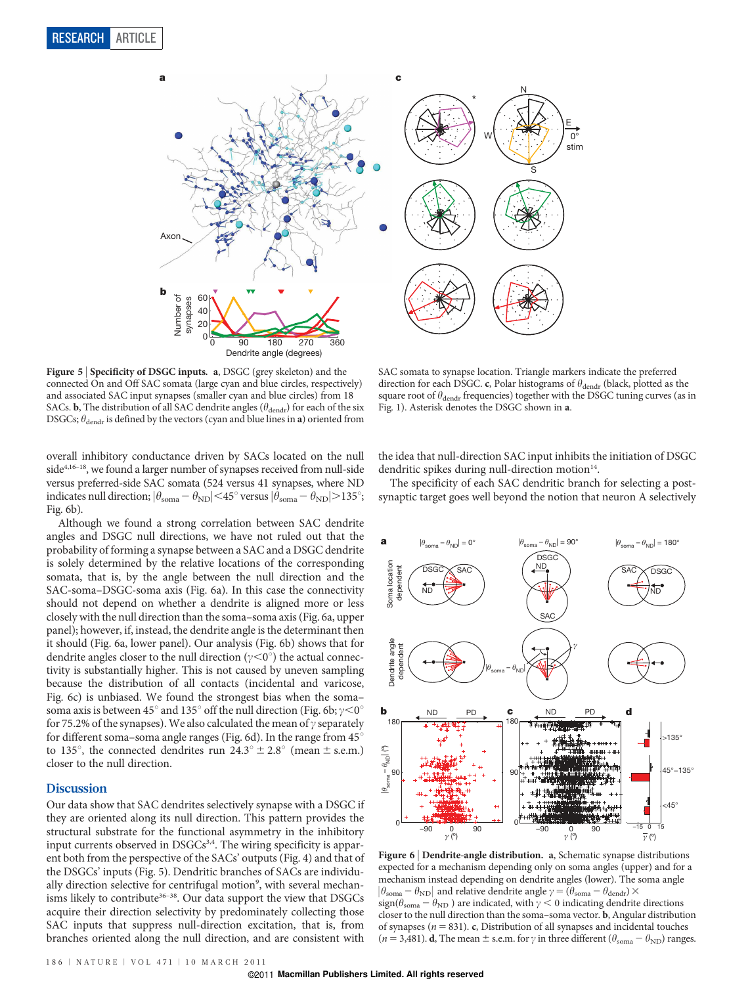

Figure 5 | Specificity of DSGC inputs. a, DSGC (grey skeleton) and the connected On and Off SAC somata (large cyan and blue circles, respectively) and associated SAC input synapses (smaller cyan and blue circles) from 18 SACs. **b**, The distribution of all SAC dendrite angles ( $\theta_{\text{dendr}}$ ) for each of the six DSGCs;  $\theta_{\text{dendr}}$  is defined by the vectors (cyan and blue lines in a) oriented from

overall inhibitory conductance driven by SACs located on the null side<sup>4,16-18</sup>, we found a larger number of synapses received from null-side versus preferred-side SAC somata (524 versus 41 synapses, where ND indicates null direction;  $|\theta_{\text{sona}} - \theta_{\text{ND}}|$  < 45° versus  $|\theta_{\text{sona}} - \theta_{\text{ND}}|$  > 135°; Fig. 6b).

Although we found a strong correlation between SAC dendrite angles and DSGC null directions, we have not ruled out that the probability of forming a synapse between a SAC and a DSGC dendrite is solely determined by the relative locations of the corresponding somata, that is, by the angle between the null direction and the SAC-soma–DSGC-soma axis (Fig. 6a). In this case the connectivity should not depend on whether a dendrite is aligned more or less closely with the null direction than the soma–soma axis (Fig. 6a, upper panel); however, if, instead, the dendrite angle is the determinant then it should (Fig. 6a, lower panel). Our analysis (Fig. 6b) shows that for dendrite angles closer to the null direction ( $\gamma$ <0°) the actual connectivity is substantially higher. This is not caused by uneven sampling because the distribution of all contacts (incidental and varicose, Fig. 6c) is unbiased. We found the strongest bias when the soma– soma axis is between 45° and 135° off the null direction (Fig. 6b;  $\gamma$ <0° for 75.2% of the synapses). We also calculated the mean of  $\gamma$  separately for different soma–soma angle ranges (Fig. 6d). In the range from 45 to 135°, the connected dendrites run  $24.3^{\circ} \pm 2.8^{\circ}$  (mean  $\pm$  s.e.m.) closer to the null direction.

### **Discussion**

Our data show that SAC dendrites selectively synapse with a DSGC if they are oriented along its null direction. This pattern provides the structural substrate for the functional asymmetry in the inhibitory input currents observed in DSGCs<sup>3,4</sup>. The wiring specificity is apparent both from the perspective of the SACs' outputs (Fig. 4) and that of the DSGCs' inputs (Fig. 5). Dendritic branches of SACs are individually direction selective for centrifugal motion<sup>9</sup>, with several mechanisms likely to contribute<sup>36–38</sup>. Our data support the view that DSGCs acquire their direction selectivity by predominately collecting those SAC inputs that suppress null-direction excitation, that is, from branches oriented along the null direction, and are consistent with

SAC somata to synapse location. Triangle markers indicate the preferred direction for each DSGC. c, Polar histograms of  $\theta_{\text{dendr}}$  (black, plotted as the square root of  $\theta_{\mathrm{dendr}}$  frequencies) together with the DSGC tuning curves (as in Fig. 1). Asterisk denotes the DSGC shown in a.

the idea that null-direction SAC input inhibits the initiation of DSGC dendritic spikes during null-direction motion<sup>14</sup>.

The specificity of each SAC dendritic branch for selecting a postsynaptic target goes well beyond the notion that neuron A selectively



Figure 6 | Dendrite-angle distribution. a, Schematic synapse distributions expected for a mechanism depending only on soma angles (upper) and for a mechanism instead depending on dendrite angles (lower). The soma angle  $|\theta_{\rm soma} - \theta_{\rm ND}|$  and relative dendrite angle  $\gamma = (\theta_{\rm soma} - \theta_{\rm dendr}) \times$  $\text{sign}(\theta_{\text{soma}} - \theta_{\text{ND}})$  are indicated, with  $\gamma < 0$  indicating dendrite directions closer to the null direction than the soma–soma vector. b, Angular distribution of synapses ( $n = 831$ ). c, Distribution of all synapses and incidental touches ( $n = 3,481$ ). **d**, The mean  $\pm$  s.e.m. for  $\gamma$  in three different ( $\theta_{\text{soma}} - \theta_{\text{ND}}$ ) ranges.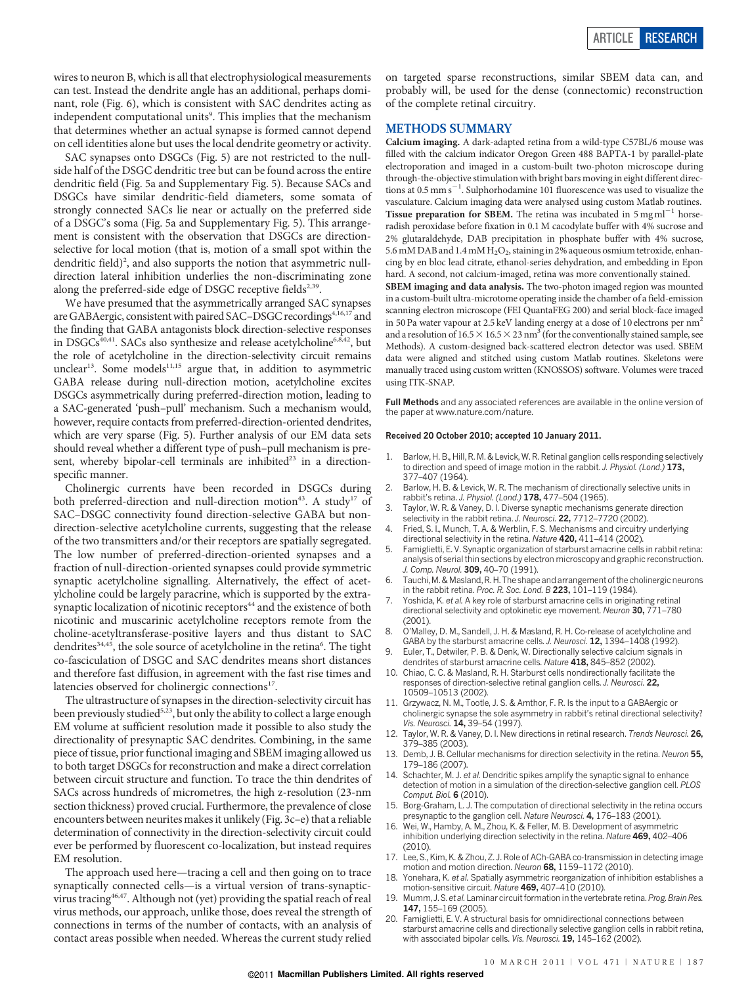wires to neuron B, which is all that electrophysiological measurements can test. Instead the dendrite angle has an additional, perhaps dominant, role (Fig. 6), which is consistent with SAC dendrites acting as independent computational units<sup>9</sup>. This implies that the mechanism that determines whether an actual synapse is formed cannot depend on cell identities alone but uses the local dendrite geometry or activity.

SAC synapses onto DSGCs (Fig. 5) are not restricted to the nullside half of the DSGC dendritic tree but can be found across the entire dendritic field (Fig. 5a and Supplementary Fig. 5). Because SACs and DSGCs have similar dendritic-field diameters, some somata of strongly connected SACs lie near or actually on the preferred side of a DSGC's soma (Fig. 5a and Supplementary Fig. 5). This arrangement is consistent with the observation that DSGCs are directionselective for local motion (that is, motion of a small spot within the dendritic field)<sup>2</sup>, and also supports the notion that asymmetric nulldirection lateral inhibition underlies the non-discriminating zone along the preferred-side edge of DSGC receptive fields<sup>2,39</sup>.

We have presumed that the asymmetrically arranged SAC synapses are GABAergic, consistent with paired SAC-DSGC recordings<sup>4,16,17</sup> and the finding that GABA antagonists block direction-selective responses in DSGCs<sup>40,41</sup>. SACs also synthesize and release acetylcholine<sup>6,8,42</sup>, but the role of acetylcholine in the direction-selectivity circuit remains unclear<sup>13</sup>. Some models<sup>11,15</sup> argue that, in addition to asymmetric GABA release during null-direction motion, acetylcholine excites DSGCs asymmetrically during preferred-direction motion, leading to a SAC-generated 'push–pull' mechanism. Such a mechanism would, however, require contacts from preferred-direction-oriented dendrites, which are very sparse (Fig. 5). Further analysis of our EM data sets should reveal whether a different type of push–pull mechanism is present, whereby bipolar-cell terminals are inhibited $23$  in a directionspecific manner.

Cholinergic currents have been recorded in DSGCs during both preferred-direction and null-direction motion<sup>43</sup>. A study<sup>17</sup> of SAC–DSGC connectivity found direction-selective GABA but nondirection-selective acetylcholine currents, suggesting that the release of the two transmitters and/or their receptors are spatially segregated. The low number of preferred-direction-oriented synapses and a fraction of null-direction-oriented synapses could provide symmetric synaptic acetylcholine signalling. Alternatively, the effect of acetylcholine could be largely paracrine, which is supported by the extrasynaptic localization of nicotinic receptors<sup>44</sup> and the existence of both nicotinic and muscarinic acetylcholine receptors remote from the choline-acetyltransferase-positive layers and thus distant to SAC dendrites<sup>34,45</sup>, the sole source of acetylcholine in the retina<sup>6</sup>. The tight co-fasciculation of DSGC and SAC dendrites means short distances and therefore fast diffusion, in agreement with the fast rise times and latencies observed for cholinergic connections<sup>17</sup>.

The ultrastructure of synapses in the direction-selectivity circuit has been previously studied<sup>5,23</sup>, but only the ability to collect a large enough EM volume at sufficient resolution made it possible to also study the directionality of presynaptic SAC dendrites. Combining, in the same piece of tissue, prior functional imaging and SBEM imaging allowed us to both target DSGCs for reconstruction and make a direct correlation between circuit structure and function. To trace the thin dendrites of SACs across hundreds of micrometres, the high z-resolution (23-nm section thickness) proved crucial. Furthermore, the prevalence of close encounters between neurites makes it unlikely (Fig. 3c–e) that a reliable determination of connectivity in the direction-selectivity circuit could ever be performed by fluorescent co-localization, but instead requires EM resolution.

The approach used here—tracing a cell and then going on to trace synaptically connected cells—is a virtual version of trans-synapticvirus tracing46,47. Although not (yet) providing the spatial reach of real virus methods, our approach, unlike those, does reveal the strength of connections in terms of the number of contacts, with an analysis of contact areas possible when needed. Whereas the current study relied

on targeted sparse reconstructions, similar SBEM data can, and probably will, be used for the dense (connectomic) reconstruction of the complete retinal circuitry.

### METHODS SUMMARY

Calcium imaging. A dark-adapted retina from a wild-type C57BL/6 mouse was filled with the calcium indicator Oregon Green 488 BAPTA-1 by parallel-plate electroporation and imaged in a custom-built two-photon microscope during through-the-objective stimulation with bright bars moving in eight different directions at 0.5 mm s<sup>-1</sup>. Sulphorhodamine 101 fluorescence was used to visualize the vasculature. Calcium imaging data were analysed using custom Matlab routines. Tissue preparation for SBEM. The retina was incubated in  $5 \text{ mg m}$ <sup>-1</sup> horseradish peroxidase before fixation in 0.1M cacodylate buffer with 4% sucrose and 2% glutaraldehyde, DAB precipitation in phosphate buffer with 4% sucrose, 5.6 mM DAB and 1.4 mM  $H_2O_2$ , staining in 2% aqueous osmium tetroxide, enhancing by en bloc lead citrate, ethanol-series dehydration, and embedding in Epon hard. A second, not calcium-imaged, retina was more conventionally stained.

SBEM imaging and data analysis. The two-photon imaged region was mounted in a custom-built ultra-microtome operating inside the chamber of a field-emission scanning electron microscope (FEI QuantaFEG 200) and serial block-face imaged in 50 Pa water vapour at 2.5 keV landing energy at a dose of 10 electrons per nm<sup>2</sup> and a resolution of  $16.5 \times 16.5 \times 23$  nm<sup>3</sup> (for the conventionally stained sample, see Methods). A custom-designed back-scattered electron detector was used. SBEM data were aligned and stitched using custom Matlab routines. Skeletons were manually traced using custom written (KNOSSOS) software. Volumes were traced using ITK-SNAP.

Full Methods and any associated references are available in the online version of the paper at [www.nature.com/nature.](www.nature.com/nature)

#### Received 20 October 2010; accepted 10 January 2011.

- 1. Barlow, H. B., Hill, R. M. & Levick, W. R. Retinal ganglion cells responding selectively to direction and speed of image motion in the rabbit. J. Physiol. (Lond.) 173, 377–407 (1964).
- 2. Barlow, H. B. & Levick, W. R. The mechanism of directionally selective units in rabbit's retina. J. Physiol. (Lond.) 178, 477-504 (1965).
- 3. Taylor, W. R. & Vaney, D. I. Diverse synaptic mechanisms generate direction selectivity in the rabbit retina. J. Neurosci. 22, 7712-7720 (2002).
- 4. Fried, S. I., Munch, T. A. & Werblin, F. S. Mechanisms and circuitry underlying directional selectivity in the retina. Nature 420, 411-414 (2002).
- 5. Famiglietti, E. V. Synaptic organization of starburst amacrine cells in rabbit retina: analysis of serial thin sections by electron microscopy and graphic reconstruction. J. Comp. Neurol. 309, 40-70 (1991).
- 6. Tauchi, M. & Masland, R. H. The shape and arrangement of the cholinergic neurons in the rabbit retina. Proc. R. Soc. Lond. B 223, 101-119 (1984).
- Yoshida, K. et al. A key role of starburst amacrine cells in originating retinal directional selectivity and optokinetic eye movement. Neuron 30, 771-780 (2001).
- 8. O'Malley, D. M., Sandell, J. H. & Masland, R. H. Co-release of acetylcholine and GABA by the starburst amacrine cells. J. Neurosci. 12, 1394–1408 (1992).
- 9. Euler, T., Detwiler, P. B. & Denk, W. Directionally selective calcium signals in dendrites of starburst amacrine cells. Nature 418, 845-852 (2002).
- 10. Chiao, C. C. & Masland, R. H. Starburst cells nondirectionally facilitate the responses of direction-selective retinal ganglion cells. J. Neurosci. 22, 10509–10513 (2002).
- 11. Grzywacz, N. M., Tootle, J. S. & Amthor, F. R. Is the input to a GABAergic or cholinergic synapse the sole asymmetry in rabbit's retinal directional selectivity? Vis. Neurosci. 14, 39–54 (1997).
- 12. Taylor, W. R. & Vaney, D. I. New directions in retinal research. Trends Neurosci. 26, 379–385 (2003).
- 13. Demb, J. B. Cellular mechanisms for direction selectivity in the retina. Neuron 55, 179–186 (2007).
- 14. Schachter, M. J. et al. Dendritic spikes amplify the synaptic signal to enhance detection of motion in a simulation of the direction-selective ganglion cell. PLOS Comput. Biol. 6 (2010).
- 15. Borg-Graham, L. J. The computation of directional selectivity in the retina occurs presynaptic to the ganglion cell. Nature Neurosci. 4, 176-183 (2001).
- 16. Wei, W., Hamby, A. M., Zhou, K. & Feller, M. B. Development of asymmetric inhibition underlying direction selectivity in the retina. Nature 469, 402-406 (2010).
- 17. Lee, S., Kim, K. & Zhou, Z. J. Role of ACh-GABA co-transmission in detecting image motion and motion direction. Neuron 68, 1159-1172 (2010).
- 18. Yonehara, K. et al. Spatially asymmetric reorganization of inhibition establishes a motion-sensitive circuit. Nature 469, 407–410 (2010).
- 19. Mumm, J. S. et al. Laminar circuit formation in the vertebrate retina. Prog. Brain Res. 147, 155–169 (2005).
- 20. Famiglietti, E. V. A structural basis for omnidirectional connections between starburst amacrine cells and directionally selective ganglion cells in rabbit retina, with associated bipolar cells. Vis. Neurosci. 19, 145-162 (2002).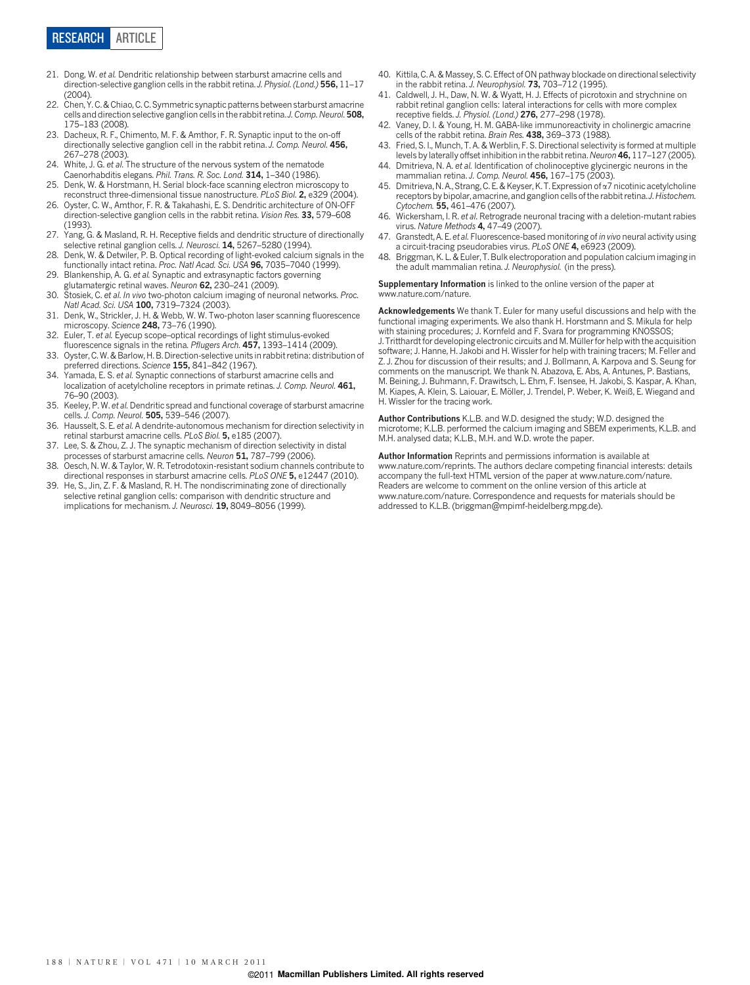

- 21. Dong, W. et al. Dendritic relationship between starburst amacrine cells and direction-selective ganglion cells in the rabbit retina. J. Physiol. (Lond.) 556, 11–17  $(2004)$
- 22. Chen, Y. C. & Chiao, C. C. Symmetric synaptic patterns between starburst amacrine cells and direction selective ganglion cells in the rabbit retina. J. Comp. Neurol. 508, 175–183 (2008).
- 23. Dacheux, R. F., Chimento, M. F. & Amthor, F. R. Synaptic input to the on-off directionally selective ganglion cell in the rabbit retina. J. Comp. Neurol. 456, 267–278 (2003).
- 24. White, J. G. et al. The structure of the nervous system of the nematode Caenorhabditis elegans. Phil. Trans. R. Soc. Lond. 314, 1–340 (1986).
- 25. Denk, W. & Horstmann, H. Serial block-face scanning electron microscopy to reconstruct three-dimensional tissue nanostructure. PLoS Biol. 2, e329 (2004).
- 26. Oyster, C. W., Amthor, F. R. & Takahashi, E. S. Dendritic architecture of ON-OFF direction-selective ganglion cells in the rabbit retina. Vision Res. 33, 579–608 (1993).
- 27. Yang, G. & Masland, R. H. Receptive fields and dendritic structure of directionally selective retinal ganglion cells. J. Neurosci. 14, 5267-5280 (1994).
- 28. Denk, W. & Detwiler, P. B. Optical recording of light-evoked calcium signals in the functionally intact retina. Proc. Natl Acad. Sci. USA 96, 7035-7040 (1999).
- 29. Blankenship, A. G. et al. Synaptic and extrasynaptic factors governing glutamatergic retinal waves. Neuron 62, 230-241 (2009).
- 30. Stosiek, C. et al. In vivo two-photon calcium imaging of neuronal networks. Proc. Natl Acad. Sci. USA 100, 7319–7324 (2003).
- 31. Denk, W., Strickler, J. H. & Webb, W. W. Two-photon laser scanning fluorescence microscopy. Science 248, 73–76 (1990).
- 32. Euler, T. et al. Eyecup scope–optical recordings of light stimulus-evoked fluorescence signals in the retina. Pflugers Arch. 457, 1393-1414 (2009)
- 33. Oyster, C.W. & Barlow, H. B. Direction-selective units in rabbit retina: distribution of preferred directions. Science 155, 841-842 (1967).
- 34. Yamada, E. S. et al. Synaptic connections of starburst amacrine cells and localization of acetylcholine receptors in primate retinas. J. Comp. Neurol. 461,
- 76–90 (2003). 35. Keeley, P. W. et al. Dendritic spread and functional coverage of starburst amacrine cells. J. Comp. Neurol. 505, 539-546 (2007).
- 36. Hausselt, S. E. et al. A dendrite-autonomous mechanism for direction selectivity in retinal starburst amacrine cells. PLoS Biol. 5, e185 (2007).
- 37. Lee, S. & Zhou, Z. J. The synaptic mechanism of direction selectivity in distal processes of starburst amacrine cells. Neuron 51, 787–799 (2006).
- 38. Oesch, N. W. & Taylor, W. R. Tetrodotoxin-resistant sodium channels contribute to directional responses in starburst amacrine cells. PLoS ONE 5, e12447 (2010).
- 39. He, S., Jin, Z. F. & Masland, R. H. The nondiscriminating zone of directionally selective retinal ganglion cells: comparison with dendritic structure and implications for mechanism. J. Neurosci. 19, 8049–8056 (1999).
- 40. Kittila, C. A. & Massey, S. C. Effect of ON pathway blockade on directional selectivity in the rabbit retina. J. Neurophysiol. 73, 703-712 (1995).
- 41. Caldwell, J. H., Daw, N. W. & Wyatt, H. J. Effects of picrotoxin and strychnine on rabbit retinal ganglion cells: lateral interactions for cells with more complex receptive fields. J. Physiol. (Lond.) 276, 277–298 (1978).
- 42. Vaney, D. I. & Young, H. M. GABA-like immunoreactivity in cholinergic amacrine cells of the rabbit retina. Brain Res. 438, 369-373 (1988).
- 43. Fried, S. I., Munch, T. A. & Werblin, F. S. Directional selectivity is formed at multiple levels by laterally offset inhibition in the rabbit retina. Neuron 46, 117-127 (2005).
- 44. Dmitrieva, N. A. et al. Identification of cholinoceptive glycinergic neurons in the mammalian retina. J. Comp. Neurol. 456, 167-175 (2003).
- 45. Dmitrieva, N. A., Strang, C. E. & Keyser, K. T. Expression of a7 nicotinic acetylcholine receptors by bipolar, amacrine, and ganglion cells of the rabbit retina. J. Histochem. Cytochem. 55, 461–476 (2007).
- 46. Wickersham, I. R. et al. Retrograde neuronal tracing with a deletion-mutant rabies virus. Nature Methods 4, 47–49 (2007).
- 47. Granstedt, A. E. et al. Fluorescence-based monitoring of in vivo neural activity using a circuit-tracing pseudorabies virus. PLoS ONE 4, e6923 (2009).
- 48. Briggman, K. L. & Euler, T. Bulk electroporation and population calcium imaging in the adult mammalian retina. J. Neurophysiol. (in the press)

#### Supplementary Information is linked to the online version of the paper at <www.nature.com/nature>.

Acknowledgements We thank T. Euler for many useful discussions and help with the functional imaging experiments. We also thank H. Horstmann and S. Mikula for help with staining procedures; J. Kornfeld and F. Svara for programming KNOSSOS; J. Tritthardt for developing electronic circuits and M. Müller for help with the acquisition software; J. Hanne, H. Jakobi and H. Wissler for help with training tracers; M. Feller and Z. J. Zhou for discussion of their results; and J. Bollmann, A. Karpova and S. Seung for comments on the manuscript. We thank N. Abazova, E. Abs, A. Antunes, P. Bastians, M. Beining, J. Buhmann, F. Drawitsch, L. Ehm, F. Isensee, H. Jakobi, S. Kaspar, A. Khan, M. Kiapes, A. Klein, S. Laiouar, E. Möller, J. Trendel, P. Weber, K. Weiß, E. Wiegand and H. Wissler for the tracing work.

Author Contributions K.L.B. and W.D. designed the study; W.D. designed the microtome; K.L.B. performed the calcium imaging and SBEM experiments, K.L.B. and M.H. analysed data; K.L.B., M.H. and W.D. wrote the paper.

Author Information Reprints and permissions information is available at <www.nature.com/reprints>. The authors declare competing financial interests: details accompany the full-text HTML version of the paper at<www.nature.com/nature>. Readers are welcome to comment on the online version of this article at <www.nature.com/nature>. Correspondence and requests for materials should be addressed to K.L.B. [\(briggman@mpimf-heidelberg.mpg.de\)](mailto:briggman@mpimf-heidelberg.mpg.de).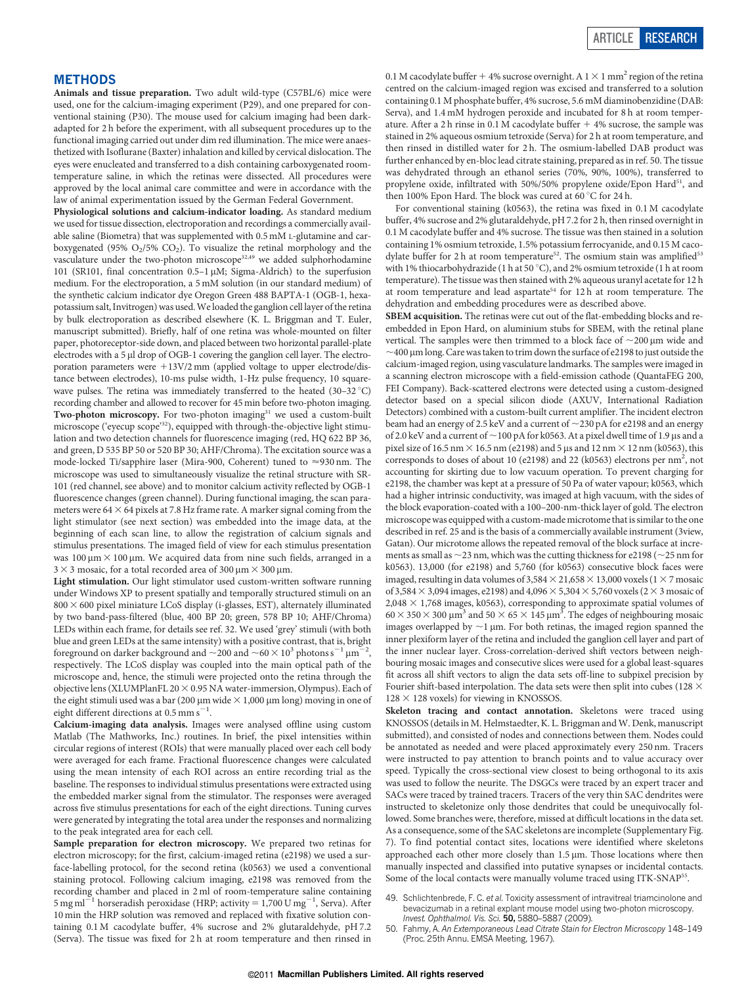#### **METHODS**

Animals and tissue preparation. Two adult wild-type (C57BL/6) mice were used, one for the calcium-imaging experiment (P29), and one prepared for conventional staining (P30). The mouse used for calcium imaging had been darkadapted for 2 h before the experiment, with all subsequent procedures up to the functional imaging carried out under dim red illumination. The mice were anaesthetized with Isoflurane (Baxter) inhalation and killed by cervical dislocation. The eyes were enucleated and transferred to a dish containing carboxygenated roomtemperature saline, in which the retinas were dissected. All procedures were approved by the local animal care committee and were in accordance with the law of animal experimentation issued by the German Federal Government.

Physiological solutions and calcium-indicator loading. As standard medium we used for tissue dissection, electroporation and recordings a commercially available saline (Biometra) that was supplemented with 0.5 mM L-glutamine and carboxygenated (95%  $O_2$ /5%  $CO_2$ ). To visualize the retinal morphology and the vasculature under the two-photon microscope<sup>32,49</sup> we added sulphorhodamine 101 (SR101, final concentration 0.5-1 µM; Sigma-Aldrich) to the superfusion medium. For the electroporation, a 5 mM solution (in our standard medium) of the synthetic calcium indicator dye Oregon Green 488 BAPTA-1 (OGB-1, hexapotassium salt, Invitrogen) was used.We loaded the ganglion cell layer of the retina by bulk electroporation as described elsewhere (K. L. Briggman and T. Euler, manuscript submitted). Briefly, half of one retina was whole-mounted on filter paper, photoreceptor-side down, and placed between two horizontal parallel-plate electrodes with a 5 µl drop of OGB-1 covering the ganglion cell layer. The electroporation parameters were  $+13V/2$  mm (applied voltage to upper electrode/distance between electrodes), 10-ms pulse width, 1-Hz pulse frequency, 10 squarewave pulses. The retina was immediately transferred to the heated  $(30-32 \degree C)$ recording chamber and allowed to recover for 45 min before two-photon imaging. Two-photon microscopy. For two-photon imaging<sup>31</sup> we used a custom-built microscope ('eyecup scope'<sup>32</sup>), equipped with through-the-objective light stimulation and two detection channels for fluorescence imaging (red, HQ 622 BP 36, and green, D 535 BP 50 or 520 BP 30; AHF/Chroma). The excitation source was a mode-locked Ti/sapphire laser (Mira-900, Coherent) tuned to <930 nm. The microscope was used to simultaneously visualize the retinal structure with SR-101 (red channel, see above) and to monitor calcium activity reflected by OGB-1 fluorescence changes (green channel). During functional imaging, the scan parameters were  $64 \times 64$  pixels at 7.8 Hz frame rate. A marker signal coming from the light stimulator (see next section) was embedded into the image data, at the beginning of each scan line, to allow the registration of calcium signals and stimulus presentations. The imaged field of view for each stimulus presentation was  $100 \mu m \times 100 \mu m$ . We acquired data from nine such fields, arranged in a  $3 \times 3$  mosaic, for a total recorded area of 300 µm  $\times$  300 µm.

Light stimulation. Our light stimulator used custom-written software running under Windows XP to present spatially and temporally structured stimuli on an  $800\times 600$  pixel miniature LCoS display (i-glasses, EST), alternately illuminated by two band-pass-filtered (blue, 400 BP 20; green, 578 BP 10; AHF/Chroma) LEDs within each frame, for details see ref. 32. We used 'grey' stimuli (with both blue and green LEDs at the same intensity) with a positive contrast, that is, bright foreground on darker background and  $\sim$  200 and  $\sim$  60  $\times$  10<sup>3</sup> photons s<sup>-1</sup> µm<sup>-2</sup>, respectively. The LCoS display was coupled into the main optical path of the microscope and, hence, the stimuli were projected onto the retina through the objective lens (XLUMPlanFL 20  $\times$  0.95 NA water-immersion, Olympus). Each of the eight stimuli used was a bar (200  $\upmu$ m wide  $\times$  1,000  $\upmu$ m long) moving in one of eight different directions at  $0.5$  mm s<sup>-1</sup>.

Calcium-imaging data analysis. Images were analysed offline using custom Matlab (The Mathworks, Inc.) routines. In brief, the pixel intensities within circular regions of interest (ROIs) that were manually placed over each cell body were averaged for each frame. Fractional fluorescence changes were calculated using the mean intensity of each ROI across an entire recording trial as the baseline. The responses to individual stimulus presentations were extracted using the embedded marker signal from the stimulator. The responses were averaged across five stimulus presentations for each of the eight directions. Tuning curves were generated by integrating the total area under the responses and normalizing to the peak integrated area for each cell.

Sample preparation for electron microscopy. We prepared two retinas for electron microscopy; for the first, calcium-imaged retina (e2198) we used a surface-labelling protocol, for the second retina (k0563) we used a conventional staining protocol. Following calcium imaging, e2198 was removed from the recording chamber and placed in 2 ml of room-temperature saline containing  $5 \text{ mg ml}^{-1}$  horseradish peroxidase (HRP; activity  $= 1,700 \text{ U mg}^{-1}$ , Serva). After 10 min the HRP solution was removed and replaced with fixative solution containing 0.1 M cacodylate buffer, 4% sucrose and 2% glutaraldehyde, pH 7.2 (Serva). The tissue was fixed for 2 h at room temperature and then rinsed in

0.1 M cacodylate buffer + 4% sucrose overnight. A 1  $\times$  1 mm $^2$  region of the retina centred on the calcium-imaged region was excised and transferred to a solution containing 0.1 M phosphate buffer, 4% sucrose, 5.6 mM diaminobenzidine (DAB: Serva), and 1.4 mM hydrogen peroxide and incubated for 8 h at room temperature. After a 2 h rinse in 0.1 M cacodylate buffer  $+ 4\%$  sucrose, the sample was stained in 2% aqueous osmium tetroxide (Serva) for 2 h at room temperature, and then rinsed in distilled water for 2 h. The osmium-labelled DAB product was further enhanced by en-bloc lead citrate staining, prepared as in ref. 50. The tissue was dehydrated through an ethanol series (70%, 90%, 100%), transferred to propylene oxide, infiltrated with 50%/50% propylene oxide/Epon Hard<sup>51</sup>, and then 100% Epon Hard. The block was cured at 60  $^{\circ}$ C for 24 h.

For conventional staining (k0563), the retina was fixed in 0.1 M cacodylate buffer, 4% sucrose and 2% glutaraldehyde, pH 7.2 for 2 h, then rinsed overnight in 0.1 M cacodylate buffer and 4% sucrose. The tissue was then stained in a solution containing 1% osmium tetroxide, 1.5% potassium ferrocyanide, and 0.15 M cacodylate buffer for 2 h at room temperature<sup>52</sup>. The osmium stain was amplified<sup>53</sup> with 1% thiocarbohydrazide (1 h at 50 °C), and 2% osmium tetroxide (1 h at room temperature). The tissue was then stained with 2% aqueous uranyl acetate for 12 h at room temperature and lead aspartate<sup>54</sup> for  $12 h$  at room temperature. The dehydration and embedding procedures were as described above.

SBEM acquisition. The retinas were cut out of the flat-embedding blocks and reembedded in Epon Hard, on aluminium stubs for SBEM, with the retinal plane vertical. The samples were then trimmed to a block face of  $\sim$ 200 µm wide and  $\sim$ 400 µm long. Care was taken to trim down the surface of e2198 to just outside the calcium-imaged region, using vasculature landmarks. The samples were imaged in a scanning electron microscope with a field-emission cathode (QuantaFEG 200, FEI Company). Back-scattered electrons were detected using a custom-designed detector based on a special silicon diode (AXUV, International Radiation Detectors) combined with a custom-built current amplifier. The incident electron beam had an energy of 2.5 keV and a current of  $\sim$ 230 pA for e2198 and an energy of 2.0 keV and a current of  $\sim$  100 pA for k0563. At a pixel dwell time of 1.9 µs and a pixel size of 16.5 nm  $\times$  16.5 nm (e2198) and 5 µs and 12 nm  $\times$  12 nm (k0563), this corresponds to doses of about 10 (e2198) and 22 (k0563) electrons per nm<sup>2</sup>, not accounting for skirting due to low vacuum operation. To prevent charging for e2198, the chamber was kept at a pressure of 50 Pa of water vapour; k0563, which had a higher intrinsic conductivity, was imaged at high vacuum, with the sides of the block evaporation-coated with a 100–200-nm-thick layer of gold. The electron microscope was equipped with a custom-mademicrotome that is similar to the one described in ref. 25 and is the basis of a commercially available instrument (3view, Gatan). Our microtome allows the repeated removal of the block surface at increments as small as  $\sim$ 23 nm, which was the cutting thickness for e2198 ( $\sim$ 25 nm for k0563). 13,000 (for e2198) and 5,760 (for k0563) consecutive block faces were imaged, resulting in data volumes of 3,584  $\times$  21,658  $\times$  13,000 voxels (1  $\times$  7 mosaic of 3,584  $\times$  3,094 images, e2198) and 4,096  $\times$  5,304  $\times$  5,760 voxels (2  $\times$  3 mosaic of  $2,048 \times 1,768$  images, k0563), corresponding to approximate spatial volumes of  $60 \times 350 \times 300 \ \mu m^3$  and  $50 \times 65 \times 145 \ \mu m^3$ . The edges of neighbouring mosaic images overlapped by  $\sim$ 1 µm. For both retinas, the imaged region spanned the inner plexiform layer of the retina and included the ganglion cell layer and part of the inner nuclear layer. Cross-correlation-derived shift vectors between neighbouring mosaic images and consecutive slices were used for a global least-squares fit across all shift vectors to align the data sets off-line to subpixel precision by Fourier shift-based interpolation. The data sets were then split into cubes (128  $\times$  $128 \times 128$  voxels) for viewing in KNOSSOS.

Skeleton tracing and contact annotation. Skeletons were traced using KNOSSOS (details in M. Helmstaedter, K. L. Briggman and W. Denk, manuscript submitted), and consisted of nodes and connections between them. Nodes could be annotated as needed and were placed approximately every 250 nm. Tracers were instructed to pay attention to branch points and to value accuracy over speed. Typically the cross-sectional view closest to being orthogonal to its axis was used to follow the neurite. The DSGCs were traced by an expert tracer and SACs were traced by trained tracers. Tracers of the very thin SAC dendrites were instructed to skeletonize only those dendrites that could be unequivocally followed. Some branches were, therefore, missed at difficult locations in the data set. As a consequence, some of the SAC skeletons are incomplete (Supplementary Fig. 7). To find potential contact sites, locations were identified where skeletons approached each other more closely than  $1.5 \,\mu m$ . Those locations where then manually inspected and classified into putative synapses or incidental contacts. Some of the local contacts were manually volume traced using ITK-SNAP<sup>55</sup>.

- 49. Schlichtenbrede, F. C. et al. Toxicity assessment of intravitreal triamcinolone and bevacizumab in a retinal explant mouse model using two-photon microscopy. Invest. Ophthalmol. Vis. Sci. 50, 5880-5887 (2009).
- 50. Fahmy, A. An Extemporaneous Lead Citrate Stain for Electron Microscopy 148–149 (Proc. 25th Annu. EMSA Meeting, 1967).